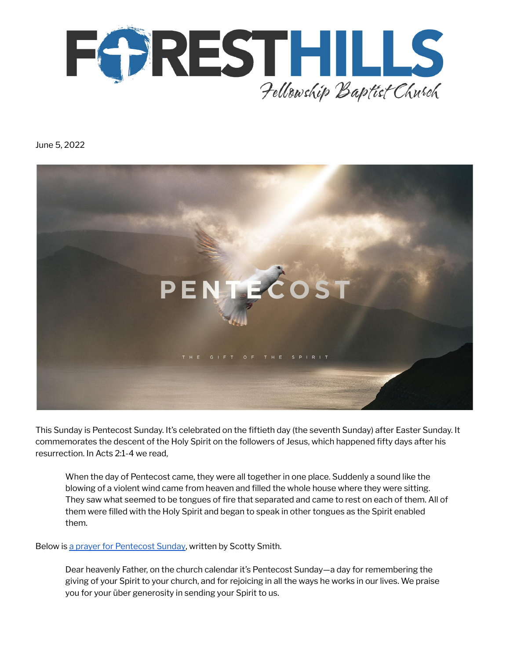

June 5, 2022



This Sunday is Pentecost Sunday. It's celebrated on the fiftieth day (the seventh Sunday) after Easter Sunday. It commemorates the descent of the Holy Spirit on the followers of Jesus, which happened fifty days after his resurrection. In Acts 2:1-4 we read,

When the day of Pentecost came, they were all together in one place. Suddenly a sound like the blowing of a violent wind came from heaven and filled the whole house where they were sitting. They saw what seemed to be tongues of fire that separated and came to rest on each of them. All of them were filled with the Holy Spirit and began to speak in other tongues as the Spirit enabled them.

Below is a prayer for [Pentecost](https://www.thegospelcoalition.org/blogs/scotty-smith/on-this-pentecost-sunday/) Sunday, written by Scotty Smith.

Dear heavenly Father, on the church calendar it's Pentecost Sunday—a day for remembering the giving of your Spirit to your church, and for rejoicing in all the ways he works in our lives. We praise you for your über generosity in sending your Spirit to us.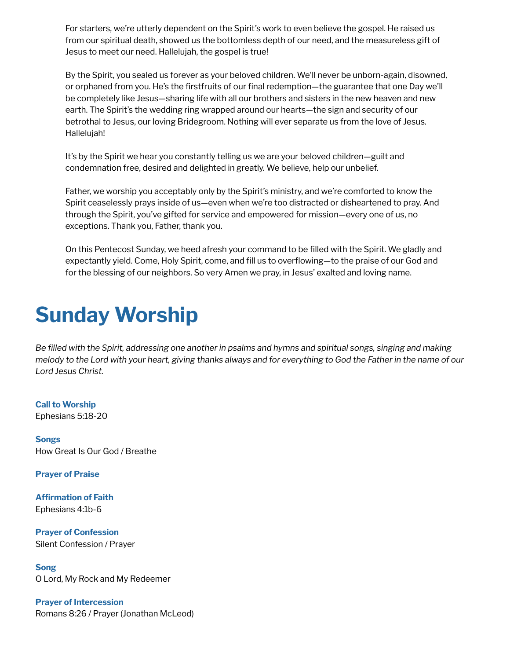For starters, we're utterly dependent on the Spirit's work to even believe the gospel. He raised us from our spiritual death, showed us the bottomless depth of our need, and the measureless gift of Jesus to meet our need. Hallelujah, the gospel is true!

By the Spirit, you sealed us forever as your beloved children. We'll never be unborn-again, disowned, or orphaned from you. He's the firstfruits of our final redemption—the guarantee that one Day we'll be completely like Jesus—sharing life with all our brothers and sisters in the new heaven and new earth. The Spirit's the wedding ring wrapped around our hearts—the sign and security of our betrothal to Jesus, our loving Bridegroom. Nothing will ever separate us from the love of Jesus. Hallelujah!

It's by the Spirit we hear you constantly telling us we are your beloved children—guilt and condemnation free, desired and delighted in greatly. We believe, help our unbelief.

Father, we worship you acceptably only by the Spirit's ministry, and we're comforted to know the Spirit ceaselessly prays inside of us—even when we're too distracted or disheartened to pray. And through the Spirit, you've gifted for service and empowered for mission—every one of us, no exceptions. Thank you, Father, thank you.

On this Pentecost Sunday, we heed afresh your command to be filled with the Spirit. We gladly and expectantly yield. Come, Holy Spirit, come, and fill us to overflowing—to the praise of our God and for the blessing of our neighbors. So very Amen we pray, in Jesus' exalted and loving name.

### **Sunday Worship**

Be filled with the Spirit, addressing one another in psalms and hymns and spiritual songs, singing and making melody to the Lord with your heart, giving thanks always and for everything to God the Father in the name of our *Lord Jesus Christ.*

**Call to Worship** Ephesians 5:18-20

**Songs** How Great Is Our God / Breathe

**Prayer of Praise**

**Affirmation of Faith** Ephesians 4:1b-6

**Prayer of Confession** Silent Confession / Prayer

**Song** O Lord, My Rock and My Redeemer

**Prayer of Intercession** Romans 8:26 / Prayer (Jonathan McLeod)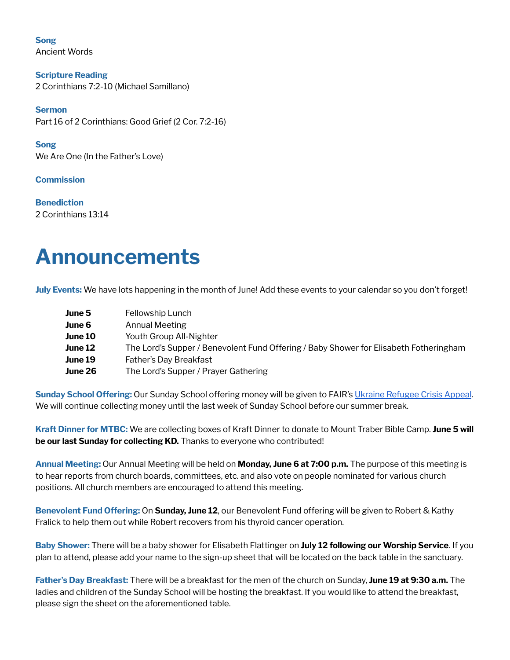**Song** Ancient Words

**Scripture Reading** 2 Corinthians 7:2-10 (Michael Samillano)

**Sermon** Part 16 of 2 Corinthians: Good Grief (2 Cor. 7:2-16)

**Song** We Are One (In the Father's Love)

**Commission**

**Benediction** 2 Corinthians 13:14

### **Announcements**

**July Events:** We have lots happening in the month of June! Add these events to your calendar so you don't forget!

| Fellowship Lunch                                                                      |
|---------------------------------------------------------------------------------------|
| Annual Meeting                                                                        |
| Youth Group All-Nighter                                                               |
| The Lord's Supper / Benevolent Fund Offering / Baby Shower for Elisabeth Fotheringham |
| Father's Day Breakfast                                                                |
| The Lord's Supper / Prayer Gathering                                                  |
|                                                                                       |

**Sunday School Offering:** Our Sunday School offering money will be given to FAIR's Ukraine [Refugee](https://www.fellowship.ca/qry/page.taf?id=39&_dsfd_uid1=818&_nc=f973f28cf0bf7480a428c6cd70effa51) Crisis Appeal. We will continue collecting money until the last week of Sunday School before our summer break.

**Kraft Dinner for MTBC:** We are collecting boxes of Kraft Dinner to donate to Mount Traber Bible Camp. **June 5 will be our last Sunday for collecting KD.** Thanks to everyone who contributed!

**Annual Meeting:** Our Annual Meeting will be held on **Monday, June 6 at 7:00 p.m.** The purpose of this meeting is to hear reports from church boards, committees, etc. and also vote on people nominated for various church positions. All church members are encouraged to attend this meeting.

**Benevolent Fund Offering:** On **Sunday, June 12**, our Benevolent Fund offering will be given to Robert & Kathy Fralick to help them out while Robert recovers from his thyroid cancer operation.

**Baby Shower:** There will be a baby shower for Elisabeth Flattinger on **July 12 following our Worship Service**. If you plan to attend, please add your name to the sign-up sheet that will be located on the back table in the sanctuary.

**Father's Day Breakfast:** There will be a breakfast for the men of the church on Sunday, **June 19 at 9:30 a.m.** The ladies and children of the Sunday School will be hosting the breakfast. If you would like to attend the breakfast, please sign the sheet on the aforementioned table.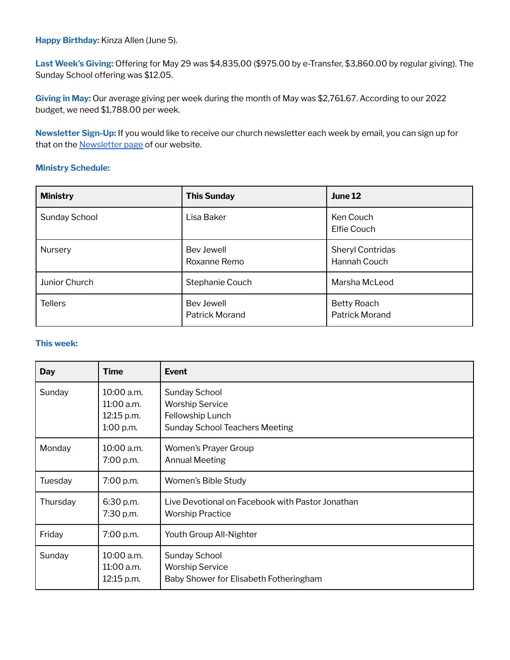**Happy Birthday:** Kinza Allen (June 5).

**Last Week's Giving:** Offering for May 29 was \$4,835,00 (\$975.00 by e-Transfer, \$3,860.00 by regular giving). The Sunday School offering was \$12.05.

**Giving in May:** Our average giving per week during the month of May was \$2,761.67. According to our 2022 budget, we need \$1,788.00 per week.

**Newsletter Sign-Up:** If you would like to receive our church newsletter each week by email, you can sign up for that on the **[Newsletter](http://www.fhfbc.org/newsletter.cfm) page** of our website.

#### **Ministry Schedule:**

| <b>Ministry</b> | <b>This Sunday</b>                  | June 12                                     |
|-----------------|-------------------------------------|---------------------------------------------|
| Sunday School   | Lisa Baker                          | Ken Couch<br>Elfie Couch                    |
| Nursery         | Bev Jewell<br>Roxanne Remo          | Sheryl Contridas<br>Hannah Couch            |
| Junior Church   | Stephanie Couch                     | Marsha McLeod                               |
| <b>Tellers</b>  | Bev Jewell<br><b>Patrick Morand</b> | <b>Betty Roach</b><br><b>Patrick Morand</b> |

#### **This week:**

| <b>Day</b> | <b>Time</b>                                         | <b>Event</b>                                                                                                |
|------------|-----------------------------------------------------|-------------------------------------------------------------------------------------------------------------|
| Sunday     | 10:00 a.m.<br>11:00 a.m.<br>12:15 p.m.<br>1:00 p.m. | <b>Sunday School</b><br><b>Worship Service</b><br>Fellowship Lunch<br><b>Sunday School Teachers Meeting</b> |
| Monday     | $10:00$ a.m.<br>7:00 p.m.                           | Women's Prayer Group<br><b>Annual Meeting</b>                                                               |
| Tuesday    | 7:00 p.m.                                           | Women's Bible Study                                                                                         |
| Thursday   | 6:30 p.m.<br>7:30 p.m.                              | Live Devotional on Facebook with Pastor Jonathan<br><b>Worship Practice</b>                                 |
| Friday     | 7:00 p.m.                                           | Youth Group All-Nighter                                                                                     |
| Sunday     | 10:00 a.m.<br>11:00 a.m.<br>12:15 p.m.              | <b>Sunday School</b><br><b>Worship Service</b><br>Baby Shower for Elisabeth Fotheringham                    |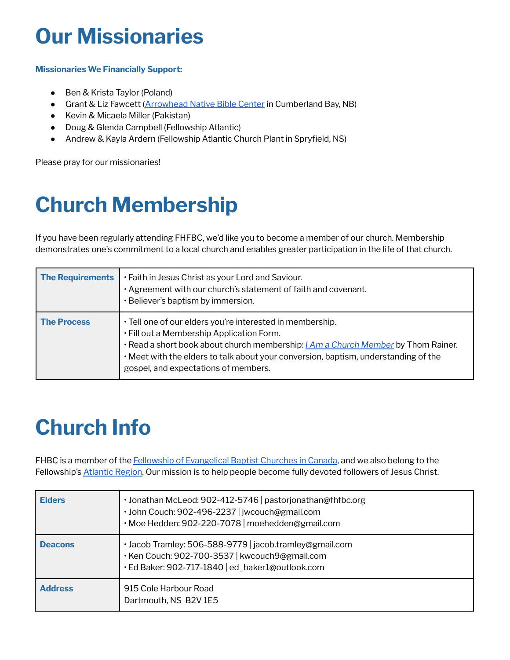## **Our Missionaries**

### **Missionaries We Financially Support:**

- Ben & Krista Taylor (Poland)
- Grant & Liz Fawcett [\(Arrowhead](https://arrowheadnbc.com/) Native Bible Center in Cumberland Bay, NB)
- Kevin & Micaela Miller (Pakistan)
- Doug & Glenda Campbell (Fellowship Atlantic)
- Andrew & Kayla Ardern (Fellowship Atlantic Church Plant in Spryfield, NS)

Please pray for our missionaries!

# **Church Membership**

If you have been regularly attending FHFBC, we'd like you to become a member of our church. Membership demonstrates one's commitment to a local church and enables greater participation in the life of that church.

| <b>The Requirements</b> | . Faith in Jesus Christ as your Lord and Saviour.<br>· Agreement with our church's statement of faith and covenant.<br>· Believer's baptism by immersion.                                                                                                                                                                        |
|-------------------------|----------------------------------------------------------------------------------------------------------------------------------------------------------------------------------------------------------------------------------------------------------------------------------------------------------------------------------|
| <b>The Process</b>      | · Tell one of our elders you're interested in membership.<br>. Fill out a Membership Application Form.<br>· Read a short book about church membership: <i>[Am a Church Member</i> by Thom Rainer.<br>. Meet with the elders to talk about your conversion, baptism, understanding of the<br>gospel, and expectations of members. |

# **Church Info**

FHBC is a member of the Fellowship of [Evangelical](https://www.fellowship.ca/) Baptist Churches in Canada, and we also belong to the Fellowship's [Atlantic](https://www.fellowshipatlantic.com/) Region. Our mission is to help people become fully devoted followers of Jesus Christ.

| <b>Elders</b>  | · Jonathan McLeod: 902-412-5746   pastorjonathan@fhfbc.org<br>· John Couch: 902-496-2237   jwcouch@gmail.com<br>· Moe Hedden: 902-220-7078   moehedden@gmail.com |
|----------------|------------------------------------------------------------------------------------------------------------------------------------------------------------------|
| <b>Deacons</b> | · Jacob Tramley: 506-588-9779   jacob.tramley@gmail.com<br>· Ken Couch: 902-700-3537   kwcouch9@gmail.com<br>· Ed Baker: 902-717-1840   ed_baker1@outlook.com    |
| <b>Address</b> | 915 Cole Harbour Road<br>Dartmouth, NS B2V 1E5                                                                                                                   |